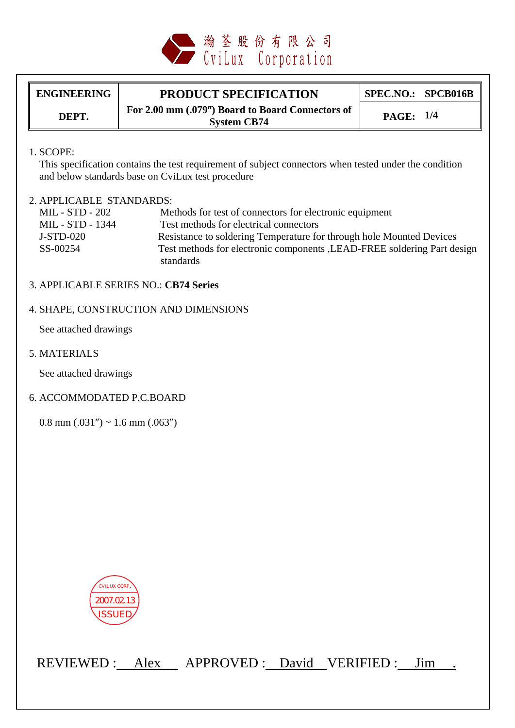

ENGINEERING **PRODUCT SPECIFICATION** SPEC.NO.: SPCB016B **DEPT. For 2.00 mm (.079") Board to Board Connectors of System CB74** 

**System CB74 PAGE: 1/4**

### 1. SCOPE:

 This specification contains the test requirement of subject connectors when tested under the condition and below standards base on CviLux test procedure

### 2. APPLICABLE STANDARDS:

| MIL - STD - 202  | Methods for test of connectors for electronic equipment                  |
|------------------|--------------------------------------------------------------------------|
| MIL - STD - 1344 | Test methods for electrical connectors                                   |
| J-STD-020        | Resistance to soldering Temperature for through hole Mounted Devices     |
| SS-00254         | Test methods for electronic components , LEAD-FREE soldering Part design |
|                  | standards                                                                |

### 3. APPLICABLE SERIES NO.: **CB74 Series**

### 4. SHAPE, CONSTRUCTION AND DIMENSIONS

See attached drawings

5. MATERIALS

See attached drawings

#### 6. ACCOMMODATED P.C.BOARD

 $0.8$  mm  $(.031'') \sim 1.6$  mm  $(.063'')$ 



REVIEWED : Alex APPROVED : David VERIFIED : Jim .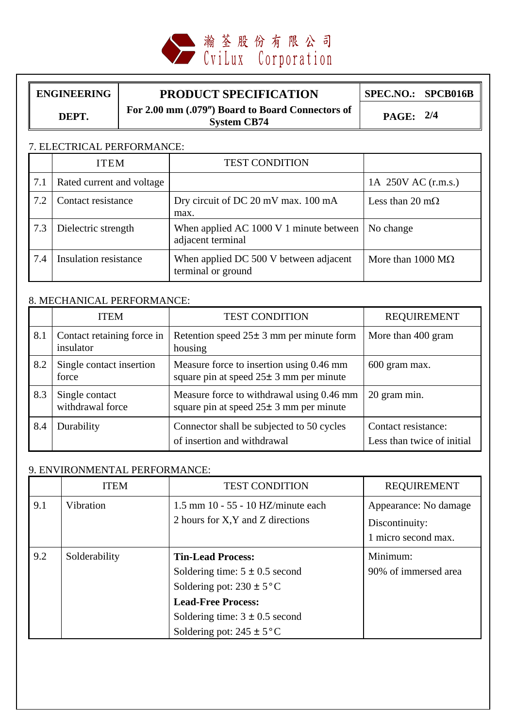

## ENGINEERING **PRODUCT SPECIFICATION** SPEC.NO.: SPCB016B

**For 2.00 mm (.079") Board to Board Connectors of <b>DEPT. System CB74 PAGE: 2/4**

### 7. ELECTRICAL PERFORMANCE:

|     | <b>ITEM</b>               | <b>TEST CONDITION</b>                                        |                                  |
|-----|---------------------------|--------------------------------------------------------------|----------------------------------|
| 7.1 | Rated current and voltage |                                                              | 1A 250V AC (r.m.s.)              |
| 7.2 | Contact resistance        | Dry circuit of DC 20 mV max. 100 mA<br>max.                  | Less than 20 m $\Omega$          |
| 7.3 | Dielectric strength       | When applied AC 1000 V 1 minute between<br>adjacent terminal | No change                        |
| 7.4 | Insulation resistance     | When applied DC 500 V between adjacent<br>terminal or ground | More than $1000 \text{ M}\Omega$ |

# 8. MECHANICAL PERFORMANCE:

|     | <b>ITEM</b>                             | <b>TEST CONDITION</b>                                                                     | <b>REQUIREMENT</b>                                |
|-----|-----------------------------------------|-------------------------------------------------------------------------------------------|---------------------------------------------------|
| 8.1 | Contact retaining force in<br>insulator | Retention speed $25 \pm 3$ mm per minute form<br>housing                                  | More than 400 gram                                |
| 8.2 | Single contact insertion<br>force       | Measure force to insertion using 0.46 mm<br>square pin at speed $25 \pm 3$ mm per minute  | 600 gram max.                                     |
| 8.3 | Single contact<br>withdrawal force      | Measure force to withdrawal using 0.46 mm<br>square pin at speed $25 \pm 3$ mm per minute | 20 gram min.                                      |
| 8.4 | Durability                              | Connector shall be subjected to 50 cycles<br>of insertion and withdrawal                  | Contact resistance:<br>Less than twice of initial |

### 9. ENVIRONMENTAL PERFORMANCE:

|     | <b>ITEM</b>   | <b>TEST CONDITION</b>                                                                                                                                                                               | <b>REQUIREMENT</b>                                             |
|-----|---------------|-----------------------------------------------------------------------------------------------------------------------------------------------------------------------------------------------------|----------------------------------------------------------------|
| 9.1 | Vibration     | $1.5$ mm $10 - 55 - 10$ HZ/minute each<br>2 hours for X, Y and Z directions                                                                                                                         | Appearance: No damage<br>Discontinuity:<br>1 micro second max. |
| 9.2 | Solderability | <b>Tin-Lead Process:</b><br>Soldering time: $5 \pm 0.5$ second<br>Soldering pot: $230 \pm 5$ °C<br><b>Lead-Free Process:</b><br>Soldering time: $3 \pm 0.5$ second<br>Soldering pot: $245 \pm 5$ °C | Minimum:<br>90% of immersed area                               |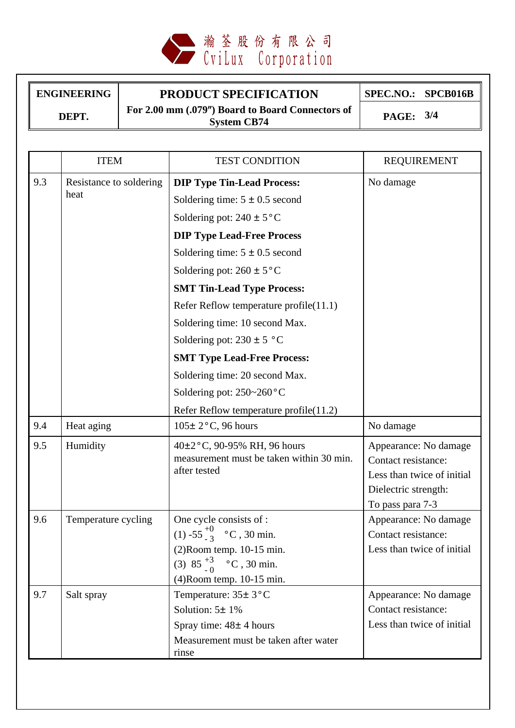

# ENGINEERING **PRODUCT SPECIFICATION** SPEC.NO.: SPCB016B **DEPT. For 2.00 mm (.079") Board to Board Connectors of System CB74 PAGE: 3/4**

|     | <b>ITEM</b>                     | <b>TEST CONDITION</b>                                                                                                                                         | <b>REQUIREMENT</b>                                                                                                     |
|-----|---------------------------------|---------------------------------------------------------------------------------------------------------------------------------------------------------------|------------------------------------------------------------------------------------------------------------------------|
| 9.3 | Resistance to soldering<br>heat | <b>DIP Type Tin-Lead Process:</b>                                                                                                                             | No damage                                                                                                              |
|     |                                 | Soldering time: $5 \pm 0.5$ second                                                                                                                            |                                                                                                                        |
|     |                                 | Soldering pot: $240 \pm 5$ °C                                                                                                                                 |                                                                                                                        |
|     |                                 | <b>DIP Type Lead-Free Process</b>                                                                                                                             |                                                                                                                        |
|     |                                 | Soldering time: $5 \pm 0.5$ second                                                                                                                            |                                                                                                                        |
|     |                                 | Soldering pot: $260 \pm 5$ °C                                                                                                                                 |                                                                                                                        |
|     |                                 | <b>SMT Tin-Lead Type Process:</b>                                                                                                                             |                                                                                                                        |
|     |                                 | Refer Reflow temperature profile(11.1)                                                                                                                        |                                                                                                                        |
|     |                                 | Soldering time: 10 second Max.                                                                                                                                |                                                                                                                        |
|     |                                 | Soldering pot: $230 \pm 5$ °C                                                                                                                                 |                                                                                                                        |
|     |                                 | <b>SMT Type Lead-Free Process:</b>                                                                                                                            |                                                                                                                        |
|     |                                 | Soldering time: 20 second Max.                                                                                                                                |                                                                                                                        |
|     |                                 | Soldering pot: $250-260$ °C                                                                                                                                   |                                                                                                                        |
|     |                                 | Refer Reflow temperature profile(11.2)                                                                                                                        |                                                                                                                        |
| 9.4 | Heat aging                      | $105 \pm 2$ °C, 96 hours                                                                                                                                      | No damage                                                                                                              |
| 9.5 | Humidity                        | 40±2°C, 90-95% RH, 96 hours<br>measurement must be taken within 30 min.<br>after tested                                                                       | Appearance: No damage<br>Contact resistance:<br>Less than twice of initial<br>Dielectric strength:<br>To pass para 7-3 |
| 9.6 | Temperature cycling             | One cycle consists of :<br>(1) -55 $^{+0}_{-3}$ °C, 30 min.<br>$(2)$ Room temp. 10-15 min.<br>(3) $85\frac{+3}{0}$ °C, 30 min.<br>$(4)$ Room temp. 10-15 min. | Appearance: No damage<br>Contact resistance:<br>Less than twice of initial                                             |
| 9.7 | Salt spray                      | Temperature: 35± 3°C<br>Solution: $5 \pm 1\%$<br>Spray time: $48 \pm 4$ hours                                                                                 | Appearance: No damage<br>Contact resistance:<br>Less than twice of initial                                             |

Measurement must be taken after water

rinse